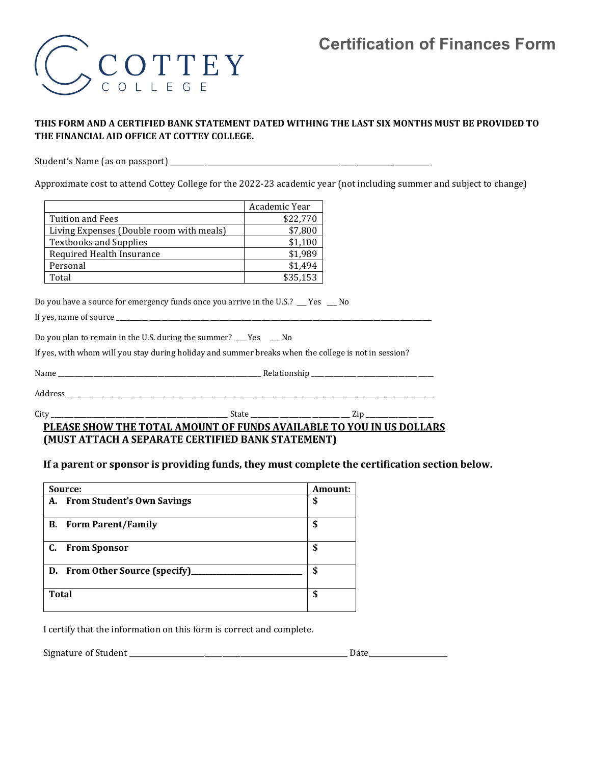# **Certification of Finances Form**



## **THIS FORM AND A CERTIFIED BANK STATEMENT DATED WITHING THE LAST SIX MONTHS MUST BE PROVIDED TO THE FINANCIAL AID OFFICE AT COTTEY COLLEGE.**

Student's Name (as on passport) \_\_\_\_\_\_\_\_\_\_\_\_\_\_\_\_\_\_\_\_\_\_\_\_\_\_\_\_\_\_\_\_\_\_\_\_\_\_\_\_\_\_\_\_\_\_\_\_\_\_\_\_\_\_\_\_\_\_\_\_\_\_\_\_\_\_\_\_\_\_\_\_\_

Approximate cost to attend Cottey College for the 2022-23 academic year (not including summer and subject to change)

|                                          | Academic Year |
|------------------------------------------|---------------|
| <b>Tuition and Fees</b>                  | \$22,770      |
| Living Expenses (Double room with meals) | \$7,800       |
| <b>Textbooks and Supplies</b>            | \$1,100       |
| Required Health Insurance                | \$1,989       |
| Personal                                 | \$1,494       |
| Total                                    | \$35,153      |

Do you have a source for emergency funds once you arrive in the U.S.? \_\_\_ Yes \_\_\_ No

If yes, name of source \_\_\_\_\_\_

Do you plan to remain in the U.S. during the summer? \_\_\_ Yes \_\_\_ No

If yes, with whom will you stay during holiday and summer breaks when the college is not in session?

| . |
|---|
|   |
|   |

Address \_\_\_\_\_\_\_\_\_\_\_\_\_\_\_\_\_\_\_\_\_\_\_\_\_\_\_\_\_\_\_\_\_\_\_\_\_\_\_\_\_\_\_\_\_\_\_\_\_\_\_\_\_\_\_\_\_\_\_\_\_\_\_\_\_\_\_\_\_\_\_\_\_\_\_\_\_\_\_\_\_\_\_\_\_\_\_\_\_\_\_\_\_\_\_\_\_\_\_\_\_\_\_\_\_\_\_\_\_\_\_\_\_\_

City \_\_\_\_\_\_\_\_\_\_\_\_\_\_\_\_\_\_\_\_\_\_\_\_\_\_\_\_\_\_\_\_\_\_\_\_\_\_\_\_\_\_\_\_\_\_\_\_\_\_\_\_\_\_\_ State \_\_\_\_\_\_\_\_\_\_\_\_\_\_\_\_\_\_\_\_\_\_\_\_\_\_\_\_\_\_\_ Zip \_\_\_\_\_\_\_\_\_\_\_\_\_\_\_\_\_\_\_\_\_

### **PLEASE SHOW THE TOTAL AMOUNT OF FUNDS AVAILABLE TO YOU IN US DOLLARS (MUST ATTACH A SEPARATE CERTIFIED BANK STATEMENT)**

#### **If a parent or sponsor is providing funds, they must complete the certification section below.**

| Source:                                 | Amount: |
|-----------------------------------------|---------|
| <b>From Student's Own Savings</b><br>А. | \$      |
| <b>Form Parent/Family</b><br>В.         | \$      |
| C.<br><b>From Sponsor</b>               | \$      |
| D. From Other Source (specify)          | \$      |
| <b>Total</b>                            | \$      |

I certify that the information on this form is correct and complete.

Signature of Student \_\_\_\_\_\_\_\_\_\_\_\_\_\_\_\_\_\_\_\_\_\_\_\_\_\_\_\_\_\_\_\_\_\_\_\_\_\_\_\_\_\_\_\_\_\_\_\_\_\_\_\_\_\_\_\_\_\_\_\_\_ Date\_\_\_\_\_\_\_\_\_\_\_\_\_\_\_\_\_\_\_\_\_\_

| Date |
|------|
|      |